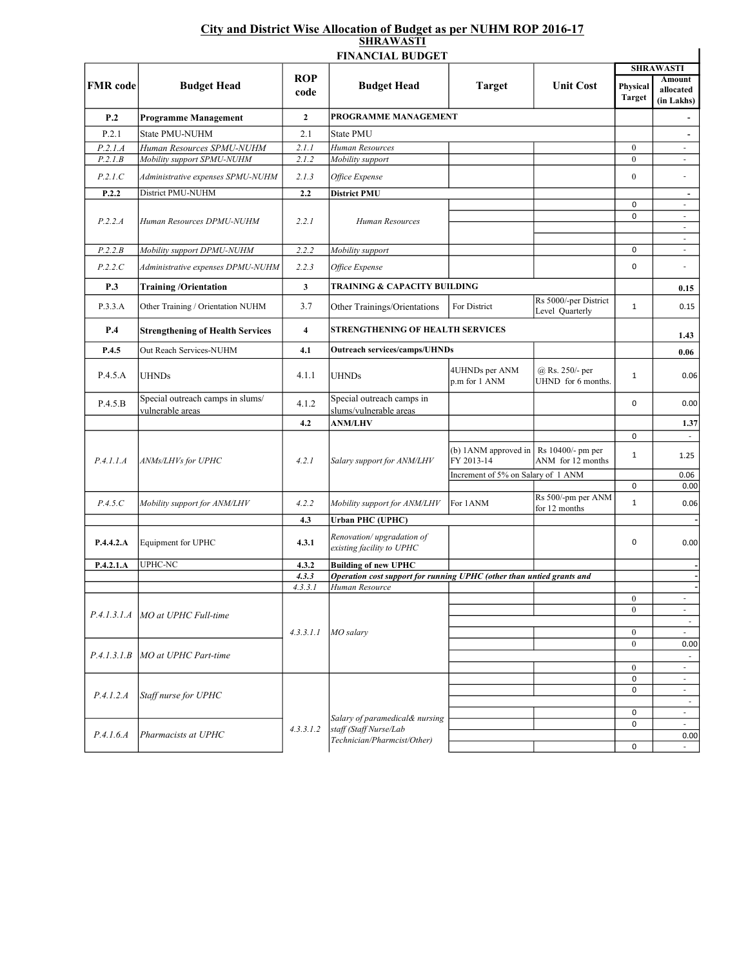## City and District Wise Allocation of Budget as per NUHM ROP 2016-17 SHRAWASTI

| ROP<br><b>FMR</b> code<br><b>Unit Cost</b><br><b>Budget Head</b><br><b>Budget Head</b><br><b>Target</b><br>code<br>P.2<br>$\mathbf{2}$<br>PROGRAMME MANAGEMENT<br><b>Programme Management</b><br>P.2.1<br>State PMU-NUHM<br>2.1<br><b>State PMU</b><br>P.2.1.A<br>Human Resources SPMU-NUHM<br>2.1.1<br>Human Resources<br>P.2.1.B<br>Mobility support SPMU-NUHM<br>2.1.2<br>Mobility support<br>P.2.1.C<br>2.1.3<br>Administrative expenses SPMU-NUHM<br>Office Expense<br>District PMU-NUHM<br>P.2.2<br><b>District PMU</b><br>2.2<br>P.2.2.A<br>2.2.1<br>Human Resources<br>Human Resources DPMU-NUHM<br>P.2.2.B<br>Mobility support DPMU-NUHM<br>2.2.2<br>Mobility support<br>P.2.2.C<br>2.2.3<br>Administrative expenses DPMU-NUHM<br>Office Expense<br>$\mathbf{3}$<br><b>TRAINING &amp; CAPACITY BUILDING</b><br>P.3<br><b>Training/Orientation</b><br>Rs 5000/-per District<br>P.3.3.A<br>Other Training / Orientation NUHM<br>3.7<br>Other Trainings/Orientations<br>For District<br>Level Quarterly<br>P.4<br><b>STRENGTHENING OF HEALTH SERVICES</b><br><b>Strengthening of Health Services</b><br>$\overline{\mathbf{4}}$<br>P.4.5<br>Out Reach Services-NUHM<br>4.1<br><b>Outreach services/camps/UHNDs</b><br>4UHNDs per ANM<br>$(a)$ Rs. 250/- per<br>P.4.5.A<br><b>UHNDs</b><br>4.1.1<br><b>UHNDs</b><br>UHND for 6 months.<br>p.m for 1 ANM<br>Special outreach camps in slums/<br>Special outreach camps in<br>P.4.5.B<br>4.1.2<br>slums/vulnerable areas<br>vulnerable areas<br>4.2<br><b>ANM/LHV</b><br>(b) 1ANM approved in $\vert$ Rs 10400/- pm per<br>FY 2013-14<br>P.4.1.1.A<br>ANMs/LHVs for UPHC<br>4.2.1<br>Salary support for ANM/LHV<br>ANM for 12 months<br>Increment of 5% on Salary of 1 ANM<br>Rs 500/-pm per ANM<br>P.4.5.C<br>Mobility support for ANM/LHV<br>4.2.2<br>Mobility support for ANM/LHV<br>For 1ANM<br>for 12 months<br>4.3<br><b>Urban PHC (UPHC)</b><br>Renovation/upgradation of<br>P.4.4.2.A<br>Equipment for UPHC<br>4.3.1<br>existing facility to UPHC<br>P.4.2.1.A<br><b>UPHC-NC</b><br><b>Building of new UPHC</b><br>4.3.2<br>Operation cost support for running UPHC (other than untied grants and<br>4, 3, 3<br>4.3.3.1<br>Human Resource<br>P.4.1.3.1.A MO at UPHC Full-time | Physical<br><b>Target</b><br>$\boldsymbol{0}$<br>$\mathbf{0}$<br>$\mathbf{0}$<br>$\pmb{0}$<br>$\mathbf 0$ | <b>SHRAWASTI</b><br><b>Amount</b><br>allocated<br>(in Lakhs)<br>$\blacksquare$<br>$\overline{\phantom{a}}$<br>$\mathcal{L}_{\mathcal{A}}$<br>$\overline{\phantom{a}}$ |
|------------------------------------------------------------------------------------------------------------------------------------------------------------------------------------------------------------------------------------------------------------------------------------------------------------------------------------------------------------------------------------------------------------------------------------------------------------------------------------------------------------------------------------------------------------------------------------------------------------------------------------------------------------------------------------------------------------------------------------------------------------------------------------------------------------------------------------------------------------------------------------------------------------------------------------------------------------------------------------------------------------------------------------------------------------------------------------------------------------------------------------------------------------------------------------------------------------------------------------------------------------------------------------------------------------------------------------------------------------------------------------------------------------------------------------------------------------------------------------------------------------------------------------------------------------------------------------------------------------------------------------------------------------------------------------------------------------------------------------------------------------------------------------------------------------------------------------------------------------------------------------------------------------------------------------------------------------------------------------------------------------------------------------------------------------------------------------------------------------------------------------------------------------------------------------------------------------------------------------------|-----------------------------------------------------------------------------------------------------------|-----------------------------------------------------------------------------------------------------------------------------------------------------------------------|
|                                                                                                                                                                                                                                                                                                                                                                                                                                                                                                                                                                                                                                                                                                                                                                                                                                                                                                                                                                                                                                                                                                                                                                                                                                                                                                                                                                                                                                                                                                                                                                                                                                                                                                                                                                                                                                                                                                                                                                                                                                                                                                                                                                                                                                          |                                                                                                           |                                                                                                                                                                       |
|                                                                                                                                                                                                                                                                                                                                                                                                                                                                                                                                                                                                                                                                                                                                                                                                                                                                                                                                                                                                                                                                                                                                                                                                                                                                                                                                                                                                                                                                                                                                                                                                                                                                                                                                                                                                                                                                                                                                                                                                                                                                                                                                                                                                                                          |                                                                                                           |                                                                                                                                                                       |
|                                                                                                                                                                                                                                                                                                                                                                                                                                                                                                                                                                                                                                                                                                                                                                                                                                                                                                                                                                                                                                                                                                                                                                                                                                                                                                                                                                                                                                                                                                                                                                                                                                                                                                                                                                                                                                                                                                                                                                                                                                                                                                                                                                                                                                          |                                                                                                           |                                                                                                                                                                       |
|                                                                                                                                                                                                                                                                                                                                                                                                                                                                                                                                                                                                                                                                                                                                                                                                                                                                                                                                                                                                                                                                                                                                                                                                                                                                                                                                                                                                                                                                                                                                                                                                                                                                                                                                                                                                                                                                                                                                                                                                                                                                                                                                                                                                                                          |                                                                                                           |                                                                                                                                                                       |
|                                                                                                                                                                                                                                                                                                                                                                                                                                                                                                                                                                                                                                                                                                                                                                                                                                                                                                                                                                                                                                                                                                                                                                                                                                                                                                                                                                                                                                                                                                                                                                                                                                                                                                                                                                                                                                                                                                                                                                                                                                                                                                                                                                                                                                          |                                                                                                           |                                                                                                                                                                       |
|                                                                                                                                                                                                                                                                                                                                                                                                                                                                                                                                                                                                                                                                                                                                                                                                                                                                                                                                                                                                                                                                                                                                                                                                                                                                                                                                                                                                                                                                                                                                                                                                                                                                                                                                                                                                                                                                                                                                                                                                                                                                                                                                                                                                                                          |                                                                                                           |                                                                                                                                                                       |
|                                                                                                                                                                                                                                                                                                                                                                                                                                                                                                                                                                                                                                                                                                                                                                                                                                                                                                                                                                                                                                                                                                                                                                                                                                                                                                                                                                                                                                                                                                                                                                                                                                                                                                                                                                                                                                                                                                                                                                                                                                                                                                                                                                                                                                          |                                                                                                           | $\overline{\phantom{a}}$                                                                                                                                              |
|                                                                                                                                                                                                                                                                                                                                                                                                                                                                                                                                                                                                                                                                                                                                                                                                                                                                                                                                                                                                                                                                                                                                                                                                                                                                                                                                                                                                                                                                                                                                                                                                                                                                                                                                                                                                                                                                                                                                                                                                                                                                                                                                                                                                                                          |                                                                                                           | $\overline{\phantom{a}}$<br>$\overline{\phantom{a}}$<br>$\overline{\phantom{a}}$                                                                                      |
|                                                                                                                                                                                                                                                                                                                                                                                                                                                                                                                                                                                                                                                                                                                                                                                                                                                                                                                                                                                                                                                                                                                                                                                                                                                                                                                                                                                                                                                                                                                                                                                                                                                                                                                                                                                                                                                                                                                                                                                                                                                                                                                                                                                                                                          | $\mathbf 0$                                                                                               | $\blacksquare$<br>$\overline{\phantom{a}}$                                                                                                                            |
|                                                                                                                                                                                                                                                                                                                                                                                                                                                                                                                                                                                                                                                                                                                                                                                                                                                                                                                                                                                                                                                                                                                                                                                                                                                                                                                                                                                                                                                                                                                                                                                                                                                                                                                                                                                                                                                                                                                                                                                                                                                                                                                                                                                                                                          | 0                                                                                                         | $\overline{a}$                                                                                                                                                        |
|                                                                                                                                                                                                                                                                                                                                                                                                                                                                                                                                                                                                                                                                                                                                                                                                                                                                                                                                                                                                                                                                                                                                                                                                                                                                                                                                                                                                                                                                                                                                                                                                                                                                                                                                                                                                                                                                                                                                                                                                                                                                                                                                                                                                                                          |                                                                                                           | 0.15                                                                                                                                                                  |
|                                                                                                                                                                                                                                                                                                                                                                                                                                                                                                                                                                                                                                                                                                                                                                                                                                                                                                                                                                                                                                                                                                                                                                                                                                                                                                                                                                                                                                                                                                                                                                                                                                                                                                                                                                                                                                                                                                                                                                                                                                                                                                                                                                                                                                          | $\mathbf{1}$                                                                                              | 0.15                                                                                                                                                                  |
|                                                                                                                                                                                                                                                                                                                                                                                                                                                                                                                                                                                                                                                                                                                                                                                                                                                                                                                                                                                                                                                                                                                                                                                                                                                                                                                                                                                                                                                                                                                                                                                                                                                                                                                                                                                                                                                                                                                                                                                                                                                                                                                                                                                                                                          |                                                                                                           | 1.43                                                                                                                                                                  |
|                                                                                                                                                                                                                                                                                                                                                                                                                                                                                                                                                                                                                                                                                                                                                                                                                                                                                                                                                                                                                                                                                                                                                                                                                                                                                                                                                                                                                                                                                                                                                                                                                                                                                                                                                                                                                                                                                                                                                                                                                                                                                                                                                                                                                                          |                                                                                                           | 0.06                                                                                                                                                                  |
|                                                                                                                                                                                                                                                                                                                                                                                                                                                                                                                                                                                                                                                                                                                                                                                                                                                                                                                                                                                                                                                                                                                                                                                                                                                                                                                                                                                                                                                                                                                                                                                                                                                                                                                                                                                                                                                                                                                                                                                                                                                                                                                                                                                                                                          | $\mathbf{1}$                                                                                              | 0.06                                                                                                                                                                  |
|                                                                                                                                                                                                                                                                                                                                                                                                                                                                                                                                                                                                                                                                                                                                                                                                                                                                                                                                                                                                                                                                                                                                                                                                                                                                                                                                                                                                                                                                                                                                                                                                                                                                                                                                                                                                                                                                                                                                                                                                                                                                                                                                                                                                                                          | $\mathbf 0$                                                                                               | 0.00                                                                                                                                                                  |
|                                                                                                                                                                                                                                                                                                                                                                                                                                                                                                                                                                                                                                                                                                                                                                                                                                                                                                                                                                                                                                                                                                                                                                                                                                                                                                                                                                                                                                                                                                                                                                                                                                                                                                                                                                                                                                                                                                                                                                                                                                                                                                                                                                                                                                          |                                                                                                           | 1.37                                                                                                                                                                  |
|                                                                                                                                                                                                                                                                                                                                                                                                                                                                                                                                                                                                                                                                                                                                                                                                                                                                                                                                                                                                                                                                                                                                                                                                                                                                                                                                                                                                                                                                                                                                                                                                                                                                                                                                                                                                                                                                                                                                                                                                                                                                                                                                                                                                                                          | $\mathsf 0$<br>$\mathbf{1}$                                                                               | $\sim$<br>1.25                                                                                                                                                        |
|                                                                                                                                                                                                                                                                                                                                                                                                                                                                                                                                                                                                                                                                                                                                                                                                                                                                                                                                                                                                                                                                                                                                                                                                                                                                                                                                                                                                                                                                                                                                                                                                                                                                                                                                                                                                                                                                                                                                                                                                                                                                                                                                                                                                                                          | 0                                                                                                         | 0.06<br>0.00                                                                                                                                                          |
|                                                                                                                                                                                                                                                                                                                                                                                                                                                                                                                                                                                                                                                                                                                                                                                                                                                                                                                                                                                                                                                                                                                                                                                                                                                                                                                                                                                                                                                                                                                                                                                                                                                                                                                                                                                                                                                                                                                                                                                                                                                                                                                                                                                                                                          | $\mathbf{1}$                                                                                              | 0.06                                                                                                                                                                  |
|                                                                                                                                                                                                                                                                                                                                                                                                                                                                                                                                                                                                                                                                                                                                                                                                                                                                                                                                                                                                                                                                                                                                                                                                                                                                                                                                                                                                                                                                                                                                                                                                                                                                                                                                                                                                                                                                                                                                                                                                                                                                                                                                                                                                                                          |                                                                                                           |                                                                                                                                                                       |
|                                                                                                                                                                                                                                                                                                                                                                                                                                                                                                                                                                                                                                                                                                                                                                                                                                                                                                                                                                                                                                                                                                                                                                                                                                                                                                                                                                                                                                                                                                                                                                                                                                                                                                                                                                                                                                                                                                                                                                                                                                                                                                                                                                                                                                          | 0                                                                                                         | 0.00                                                                                                                                                                  |
|                                                                                                                                                                                                                                                                                                                                                                                                                                                                                                                                                                                                                                                                                                                                                                                                                                                                                                                                                                                                                                                                                                                                                                                                                                                                                                                                                                                                                                                                                                                                                                                                                                                                                                                                                                                                                                                                                                                                                                                                                                                                                                                                                                                                                                          |                                                                                                           |                                                                                                                                                                       |
|                                                                                                                                                                                                                                                                                                                                                                                                                                                                                                                                                                                                                                                                                                                                                                                                                                                                                                                                                                                                                                                                                                                                                                                                                                                                                                                                                                                                                                                                                                                                                                                                                                                                                                                                                                                                                                                                                                                                                                                                                                                                                                                                                                                                                                          |                                                                                                           |                                                                                                                                                                       |
|                                                                                                                                                                                                                                                                                                                                                                                                                                                                                                                                                                                                                                                                                                                                                                                                                                                                                                                                                                                                                                                                                                                                                                                                                                                                                                                                                                                                                                                                                                                                                                                                                                                                                                                                                                                                                                                                                                                                                                                                                                                                                                                                                                                                                                          | $\boldsymbol{0}$                                                                                          | $\overline{\phantom{a}}$                                                                                                                                              |
|                                                                                                                                                                                                                                                                                                                                                                                                                                                                                                                                                                                                                                                                                                                                                                                                                                                                                                                                                                                                                                                                                                                                                                                                                                                                                                                                                                                                                                                                                                                                                                                                                                                                                                                                                                                                                                                                                                                                                                                                                                                                                                                                                                                                                                          | $\mathbf{0}$                                                                                              | $\overline{\phantom{a}}$                                                                                                                                              |
| MO salarv<br>4, 3, 3, 1, 1                                                                                                                                                                                                                                                                                                                                                                                                                                                                                                                                                                                                                                                                                                                                                                                                                                                                                                                                                                                                                                                                                                                                                                                                                                                                                                                                                                                                                                                                                                                                                                                                                                                                                                                                                                                                                                                                                                                                                                                                                                                                                                                                                                                                               | $\boldsymbol{0}$                                                                                          | $\sim$<br>$\overline{\phantom{a}}$                                                                                                                                    |
|                                                                                                                                                                                                                                                                                                                                                                                                                                                                                                                                                                                                                                                                                                                                                                                                                                                                                                                                                                                                                                                                                                                                                                                                                                                                                                                                                                                                                                                                                                                                                                                                                                                                                                                                                                                                                                                                                                                                                                                                                                                                                                                                                                                                                                          | $\mathbf{0}$                                                                                              | 0.00                                                                                                                                                                  |
| P.4.1.3.1.B<br>MO at UPHC Part-time                                                                                                                                                                                                                                                                                                                                                                                                                                                                                                                                                                                                                                                                                                                                                                                                                                                                                                                                                                                                                                                                                                                                                                                                                                                                                                                                                                                                                                                                                                                                                                                                                                                                                                                                                                                                                                                                                                                                                                                                                                                                                                                                                                                                      |                                                                                                           | $\sim$                                                                                                                                                                |
|                                                                                                                                                                                                                                                                                                                                                                                                                                                                                                                                                                                                                                                                                                                                                                                                                                                                                                                                                                                                                                                                                                                                                                                                                                                                                                                                                                                                                                                                                                                                                                                                                                                                                                                                                                                                                                                                                                                                                                                                                                                                                                                                                                                                                                          | $\mathbf{0}$<br>0                                                                                         | $\sim$<br>$\overline{\phantom{a}}$                                                                                                                                    |
|                                                                                                                                                                                                                                                                                                                                                                                                                                                                                                                                                                                                                                                                                                                                                                                                                                                                                                                                                                                                                                                                                                                                                                                                                                                                                                                                                                                                                                                                                                                                                                                                                                                                                                                                                                                                                                                                                                                                                                                                                                                                                                                                                                                                                                          | 0                                                                                                         | $\blacksquare$                                                                                                                                                        |
| Staff nurse for UPHC<br>P.4.1.2.A                                                                                                                                                                                                                                                                                                                                                                                                                                                                                                                                                                                                                                                                                                                                                                                                                                                                                                                                                                                                                                                                                                                                                                                                                                                                                                                                                                                                                                                                                                                                                                                                                                                                                                                                                                                                                                                                                                                                                                                                                                                                                                                                                                                                        |                                                                                                           | $\sim$                                                                                                                                                                |
| Salary of paramedical& nursing                                                                                                                                                                                                                                                                                                                                                                                                                                                                                                                                                                                                                                                                                                                                                                                                                                                                                                                                                                                                                                                                                                                                                                                                                                                                                                                                                                                                                                                                                                                                                                                                                                                                                                                                                                                                                                                                                                                                                                                                                                                                                                                                                                                                           | 0                                                                                                         | $\overline{\phantom{a}}$                                                                                                                                              |
| staff (Staff Nurse/Lab<br>4.3.3.1.2<br>P.4.1.6.4<br>Pharmacists at UPHC                                                                                                                                                                                                                                                                                                                                                                                                                                                                                                                                                                                                                                                                                                                                                                                                                                                                                                                                                                                                                                                                                                                                                                                                                                                                                                                                                                                                                                                                                                                                                                                                                                                                                                                                                                                                                                                                                                                                                                                                                                                                                                                                                                  | 0                                                                                                         | $\mathcal{L}_{\mathcal{A}}$<br>0.00                                                                                                                                   |
| Technician/Pharmcist/Other)                                                                                                                                                                                                                                                                                                                                                                                                                                                                                                                                                                                                                                                                                                                                                                                                                                                                                                                                                                                                                                                                                                                                                                                                                                                                                                                                                                                                                                                                                                                                                                                                                                                                                                                                                                                                                                                                                                                                                                                                                                                                                                                                                                                                              |                                                                                                           |                                                                                                                                                                       |